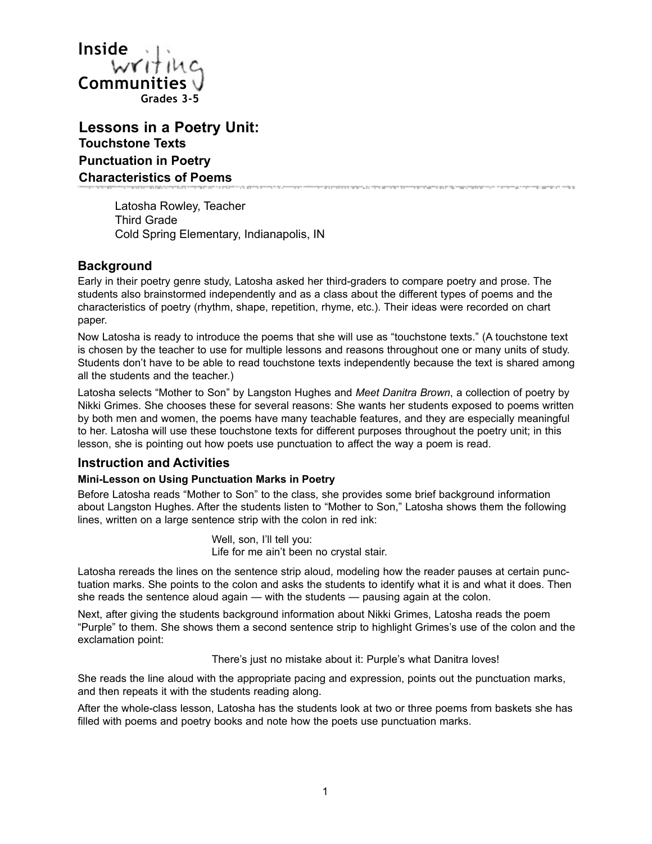

**Lessons in a Poetry Unit: Touchstone Texts Punctuation in Poetry Characteristics of Poems** ن راست ام مؤهلی راهندها در مایلنیا در مایلوژونداری از پاییک وارسانیا مواد با این مواد را را را میلود ایرونیداری است. موسستار به ایلنستار به این مو

Latosha Rowley, Teacher Third Grade Cold Spring Elementary, Indianapolis, IN

# **Background**

Early in their poetry genre study, Latosha asked her third-graders to compare poetry and prose. The students also brainstormed independently and as a class about the different types of poems and the characteristics of poetry (rhythm, shape, repetition, rhyme, etc.). Their ideas were recorded on chart paper.

Now Latosha is ready to introduce the poems that she will use as "touchstone texts." (A touchstone text is chosen by the teacher to use for multiple lessons and reasons throughout one or many units of study. Students don't have to be able to read touchstone texts independently because the text is shared among all the students and the teacher.)

Latosha selects "Mother to Son" by Langston Hughes and *Meet Danitra Brown*, a collection of poetry by Nikki Grimes. She chooses these for several reasons: She wants her students exposed to poems written by both men and women, the poems have many teachable features, and they are especially meaningful to her. Latosha will use these touchstone texts for different purposes throughout the poetry unit; in this lesson, she is pointing out how poets use punctuation to affect the way a poem is read.

# **Instruction and Activities**

### **Mini-Lesson on Using Punctuation Marks in Poetry**

Before Latosha reads "Mother to Son" to the class, she provides some brief background information about Langston Hughes. After the students listen to "Mother to Son," Latosha shows them the following lines, written on a large sentence strip with the colon in red ink:

> Well, son, I'll tell you: Life for me ain't been no crystal stair.

Latosha rereads the lines on the sentence strip aloud, modeling how the reader pauses at certain punctuation marks. She points to the colon and asks the students to identify what it is and what it does. Then she reads the sentence aloud again — with the students — pausing again at the colon.

Next, after giving the students background information about Nikki Grimes, Latosha reads the poem "Purple" to them. She shows them a second sentence strip to highlight Grimes's use of the colon and the exclamation point:

There's just no mistake about it: Purple's what Danitra loves!

She reads the line aloud with the appropriate pacing and expression, points out the punctuation marks, and then repeats it with the students reading along.

After the whole-class lesson, Latosha has the students look at two or three poems from baskets she has filled with poems and poetry books and note how the poets use punctuation marks.